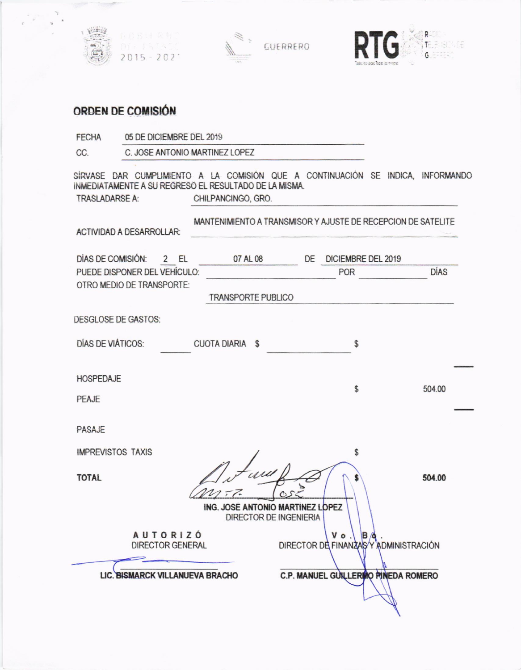





## ORDEN DE COMISIÓN

| <b>FECHA</b>             | 05 DE DICIEMBRE DEL 2019                                                                                                                 |                                                              |                                  |                                      |  |             |
|--------------------------|------------------------------------------------------------------------------------------------------------------------------------------|--------------------------------------------------------------|----------------------------------|--------------------------------------|--|-------------|
| CC.                      |                                                                                                                                          | C. JOSE ANTONIO MARTINEZ LOPEZ                               |                                  |                                      |  |             |
| <b>TRASLADARSE A:</b>    | SÍRVASE DAR CUMPLIMIENTO A LA COMISIÓN QUE A CONTINUACIÓN SE INDICA, INFORMANDO<br>INMEDIATAMENTE A SU REGRESO EL RESULTADO DE LA MISMA. | CHILPANCINGO, GRO.                                           |                                  |                                      |  |             |
|                          | <b>ACTIVIDAD A DESARROLLAR:</b>                                                                                                          | MANTENIMIENTO A TRANSMISOR Y AJUSTE DE RECEPCION DE SATELITE |                                  |                                      |  |             |
| DÍAS DE COMISIÓN:        | 2 EL                                                                                                                                     | 07 AL 08                                                     | DE                               | DICIEMBRE DEL 2019                   |  |             |
|                          | PUEDE DISPONER DEL VEHÍCULO:                                                                                                             |                                                              |                                  | POR                                  |  | <b>DÍAS</b> |
|                          | OTRO MEDIO DE TRANSPORTE:                                                                                                                | <b>TRANSPORTE PUBLICO</b>                                    |                                  |                                      |  |             |
| DESGLOSE DE GASTOS:      |                                                                                                                                          |                                                              |                                  |                                      |  |             |
| DÍAS DE VIÁTICOS:        |                                                                                                                                          | <b>CUOTA DIARIA \$</b>                                       |                                  | \$                                   |  |             |
| <b>HOSPEDAJE</b>         |                                                                                                                                          |                                                              |                                  |                                      |  |             |
| PEAJE                    |                                                                                                                                          |                                                              |                                  | \$                                   |  | 504.00      |
| PASAJE                   |                                                                                                                                          |                                                              |                                  |                                      |  |             |
| <b>IMPREVISTOS TAXIS</b> |                                                                                                                                          |                                                              |                                  | \$                                   |  |             |
| <b>TOTAL</b>             |                                                                                                                                          |                                                              | ING. JOSE ANTONIO MARTINEZ LOPEZ |                                      |  | 504.00      |
|                          |                                                                                                                                          |                                                              | <b>DIRECTOR DE INGENIERIA</b>    |                                      |  |             |
|                          | <b>AUTORIZÓ</b><br><b>DIRECTOR GENERAL</b>                                                                                               |                                                              |                                  | DIRECTOR DE FINANZASY ADMINISTRACIÓN |  |             |
|                          | LIC. BISMARCK VILLANUEVA BRACHO                                                                                                          |                                                              |                                  | C.P. MANUEL GUILLERIO PINEDA ROMERO  |  |             |
|                          |                                                                                                                                          |                                                              |                                  |                                      |  |             |